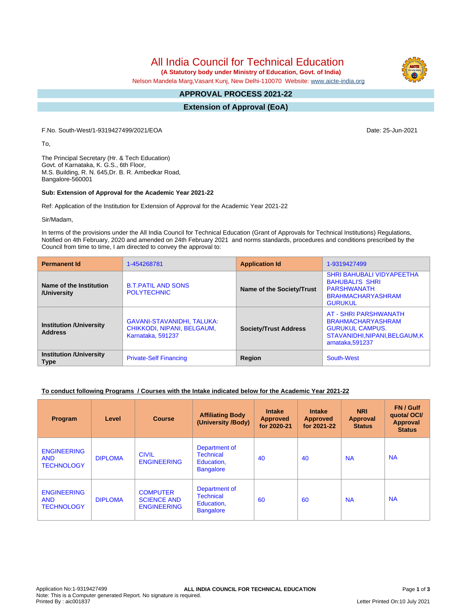# All India Council for Technical Education

 **(A Statutory body under Ministry of Education, Govt. of India)**

Nelson Mandela Marg,Vasant Kunj, New Delhi-110070 Website: [www.aicte-india.org](http://www.aicte-india.org)

#### **APPROVAL PROCESS 2021-22 -**

**Extension of Approval (EoA)**

F.No. South-West/1-9319427499/2021/EOA Date: 25-Jun-2021

To,

The Principal Secretary (Hr. & Tech Education) Govt. of Karnataka, K. G.S., 6th Floor, M.S. Building, R. N. 645,Dr. B. R. Ambedkar Road, Bangalore-560001

#### **Sub: Extension of Approval for the Academic Year 2021-22**

Ref: Application of the Institution for Extension of Approval for the Academic Year 2021-22

Sir/Madam,

In terms of the provisions under the All India Council for Technical Education (Grant of Approvals for Technical Institutions) Regulations, Notified on 4th February, 2020 and amended on 24th February 2021 and norms standards, procedures and conditions prescribed by the Council from time to time, I am directed to convey the approval to:

| <b>Permanent Id</b>                              | 1-454268781                                                                          | <b>Application Id</b>        | 1-9319427499                                                                                                                   |
|--------------------------------------------------|--------------------------------------------------------------------------------------|------------------------------|--------------------------------------------------------------------------------------------------------------------------------|
| Name of the Institution<br>/University           | <b>B.T.PATIL AND SONS</b><br><b>POLYTECHNIC</b>                                      | Name of the Society/Trust    | <b>SHRI BAHUBALI VIDYAPEETHA</b><br><b>BAHUBALI'S SHRI</b><br><b>PARSHWANATH</b><br><b>BRAHMACHARYASHRAM</b><br><b>GURUKUL</b> |
| <b>Institution /University</b><br><b>Address</b> | <b>GAVANI-STAVANIDHI, TALUKA:</b><br>CHIKKODI, NIPANI, BELGAUM.<br>Karnataka, 591237 | <b>Society/Trust Address</b> | AT - SHRI PARSHWANATH<br><b>BRAHMACHARYASHRAM</b><br><b>GURUKUL CAMPUS.</b><br>STAVANIDHI.NIPANI.BELGAUM.K<br>arnataka.591237  |
| <b>Institution /University</b><br><b>Type</b>    | <b>Private-Self Financing</b>                                                        | Region                       | South-West                                                                                                                     |

### **To conduct following Programs / Courses with the Intake indicated below for the Academic Year 2021-22**

| Program                                               | Level          | <b>Course</b>                                               | <b>Affiliating Body</b><br>(University /Body)                       | <b>Intake</b><br><b>Approved</b><br>for 2020-21 | <b>Intake</b><br><b>Approved</b><br>for 2021-22 | <b>NRI</b><br>Approval<br><b>Status</b> | FN / Gulf<br>quotal OCI/<br>Approval<br><b>Status</b> |
|-------------------------------------------------------|----------------|-------------------------------------------------------------|---------------------------------------------------------------------|-------------------------------------------------|-------------------------------------------------|-----------------------------------------|-------------------------------------------------------|
| <b>ENGINEERING</b><br><b>AND</b><br><b>TECHNOLOGY</b> | <b>DIPLOMA</b> | <b>CIVIL</b><br><b>ENGINEERING</b>                          | Department of<br><b>Technical</b><br>Education,<br><b>Bangalore</b> | 40                                              | 40                                              | <b>NA</b>                               | <b>NA</b>                                             |
| <b>ENGINEERING</b><br><b>AND</b><br><b>TECHNOLOGY</b> | <b>DIPLOMA</b> | <b>COMPUTER</b><br><b>SCIENCE AND</b><br><b>ENGINEERING</b> | Department of<br><b>Technical</b><br>Education,<br><b>Bangalore</b> | 60                                              | 60                                              | <b>NA</b>                               | <b>NA</b>                                             |



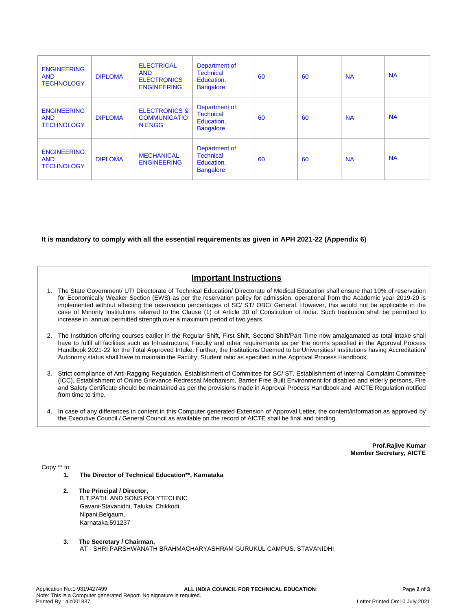| <b>ENGINEERING</b><br><b>AND</b><br><b>TECHNOLOGY</b> | <b>DIPLOMA</b> | <b>ELECTRICAL</b><br><b>AND</b><br><b>ELECTRONICS</b><br><b>ENGINEERING</b> | Department of<br><b>Technical</b><br>Education,<br><b>Bangalore</b> | 60 | 60 | <b>NA</b> | <b>NA</b> |
|-------------------------------------------------------|----------------|-----------------------------------------------------------------------------|---------------------------------------------------------------------|----|----|-----------|-----------|
| <b>ENGINEERING</b><br><b>AND</b><br><b>TECHNOLOGY</b> | <b>DIPLOMA</b> | <b>ELECTRONICS &amp;</b><br><b>COMMUNICATIO</b><br><b>N ENGG</b>            | Department of<br><b>Technical</b><br>Education,<br><b>Bangalore</b> | 60 | 60 | <b>NA</b> | <b>NA</b> |
| <b>ENGINEERING</b><br><b>AND</b><br><b>TECHNOLOGY</b> | <b>DIPLOMA</b> | <b>MECHANICAL</b><br><b>ENGINEERING</b>                                     | Department of<br><b>Technical</b><br>Education,<br><b>Bangalore</b> | 60 | 60 | <b>NA</b> | <b>NA</b> |

#### **It is mandatory to comply with all the essential requirements as given in APH 2021-22 (Appendix 6)**

## **Important Instructions**

- 1. The State Government/ UT/ Directorate of Technical Education/ Directorate of Medical Education shall ensure that 10% of reservation for Economically Weaker Section (EWS) as per the reservation policy for admission, operational from the Academic year 2019-20 is implemented without affecting the reservation percentages of SC/ ST/ OBC/ General. However, this would not be applicable in the case of Minority Institutions referred to the Clause (1) of Article 30 of Constitution of India. Such Institution shall be permitted to increase in annual permitted strength over a maximum period of two years.
- 2. The Institution offering courses earlier in the Regular Shift, First Shift, Second Shift/Part Time now amalgamated as total intake shall have to fulfil all facilities such as Infrastructure, Faculty and other requirements as per the norms specified in the Approval Process Handbook 2021-22 for the Total Approved Intake. Further, the Institutions Deemed to be Universities/ Institutions having Accreditation/ Autonomy status shall have to maintain the Faculty: Student ratio as specified in the Approval Process Handbook.
- 3. Strict compliance of Anti-Ragging Regulation, Establishment of Committee for SC/ ST, Establishment of Internal Complaint Committee (ICC), Establishment of Online Grievance Redressal Mechanism, Barrier Free Built Environment for disabled and elderly persons, Fire and Safety Certificate should be maintained as per the provisions made in Approval Process Handbook and AICTE Regulation notified from time to time.
- 4. In case of any differences in content in this Computer generated Extension of Approval Letter, the content/information as approved by the Executive Council / General Council as available on the record of AICTE shall be final and binding.

**Prof.Rajive Kumar Member Secretary, AICTE**

Copy \*\* to:

- **1. The Director of Technical Education\*\*, Karnataka**
- **2. The Principal / Director,** B.T.PATIL AND SONS POLYTECHNIC Gavani-Stavanidhi, Taluka: Chikkodi, Nipani,Belgaum, Karnataka,591237
- **3. The Secretary / Chairman,** AT - SHRI PARSHWANATH BRAHMACHARYASHRAM GURUKUL CAMPUS. STAVANIDHI